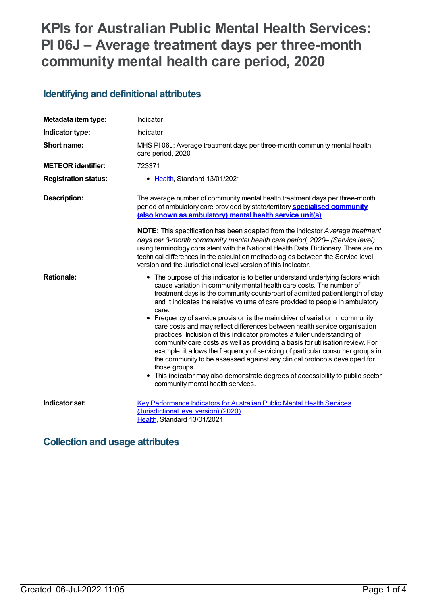# **KPIs for Australian Public Mental Health Services: PI 06J – Average treatment days per three-month community mental health care period, 2020**

### **Identifying and definitional attributes**

| Metadata item type:         | Indicator                                                                                                                                                                                                                                                                                                                                                                                                                                                                                                                                                                                                                                                                                                                                                                                                                                                                                                                                                               |
|-----------------------------|-------------------------------------------------------------------------------------------------------------------------------------------------------------------------------------------------------------------------------------------------------------------------------------------------------------------------------------------------------------------------------------------------------------------------------------------------------------------------------------------------------------------------------------------------------------------------------------------------------------------------------------------------------------------------------------------------------------------------------------------------------------------------------------------------------------------------------------------------------------------------------------------------------------------------------------------------------------------------|
| Indicator type:             | Indicator                                                                                                                                                                                                                                                                                                                                                                                                                                                                                                                                                                                                                                                                                                                                                                                                                                                                                                                                                               |
| Short name:                 | MHS PI06J: Average treatment days per three-month community mental health<br>care period, 2020                                                                                                                                                                                                                                                                                                                                                                                                                                                                                                                                                                                                                                                                                                                                                                                                                                                                          |
| <b>METEOR identifier:</b>   | 723371                                                                                                                                                                                                                                                                                                                                                                                                                                                                                                                                                                                                                                                                                                                                                                                                                                                                                                                                                                  |
| <b>Registration status:</b> | • Health, Standard 13/01/2021                                                                                                                                                                                                                                                                                                                                                                                                                                                                                                                                                                                                                                                                                                                                                                                                                                                                                                                                           |
| <b>Description:</b>         | The average number of community mental health treatment days per three-month<br>period of ambulatory care provided by state/territory <b>specialised community</b><br>(also known as ambulatory) mental health service unit(s).                                                                                                                                                                                                                                                                                                                                                                                                                                                                                                                                                                                                                                                                                                                                         |
|                             | NOTE: This specification has been adapted from the indicator Average treatment<br>days per 3-month community mental health care period, 2020- (Service level)<br>using terminology consistent with the National Health Data Dictionary. There are no<br>technical differences in the calculation methodologies between the Service level<br>version and the Jurisdictional level version of this indicator.                                                                                                                                                                                                                                                                                                                                                                                                                                                                                                                                                             |
| <b>Rationale:</b>           | • The purpose of this indicator is to better understand underlying factors which<br>cause variation in community mental health care costs. The number of<br>treatment days is the community counterpart of admitted patient length of stay<br>and it indicates the relative volume of care provided to people in ambulatory<br>care.<br>• Frequency of service provision is the main driver of variation in community<br>care costs and may reflect differences between health service organisation<br>practices. Inclusion of this indicator promotes a fuller understanding of<br>community care costs as well as providing a basis for utilisation review. For<br>example, it allows the frequency of servicing of particular consumer groups in<br>the community to be assessed against any clinical protocols developed for<br>those groups.<br>This indicator may also demonstrate degrees of accessibility to public sector<br>community mental health services. |
| Indicator set:              | <b>Key Performance Indicators for Australian Public Mental Health Services</b><br>(Jurisdictional level version) (2020)<br>Health, Standard 13/01/2021                                                                                                                                                                                                                                                                                                                                                                                                                                                                                                                                                                                                                                                                                                                                                                                                                  |

#### **Collection and usage attributes**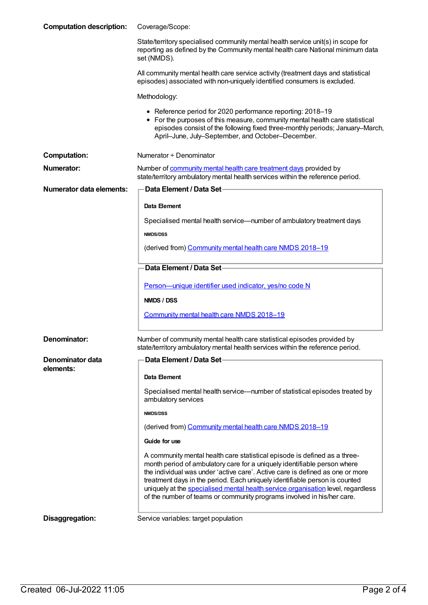| <b>Computation description:</b> | Coverage/Scope:                                                                                                                                                                                                                                                                                                                                                                                                                                                                    |
|---------------------------------|------------------------------------------------------------------------------------------------------------------------------------------------------------------------------------------------------------------------------------------------------------------------------------------------------------------------------------------------------------------------------------------------------------------------------------------------------------------------------------|
|                                 | State/territory specialised community mental health service unit(s) in scope for<br>reporting as defined by the Community mental health care National minimum data<br>set (NMDS).                                                                                                                                                                                                                                                                                                  |
|                                 | All community mental health care service activity (treatment days and statistical<br>episodes) associated with non-uniquely identified consumers is excluded.                                                                                                                                                                                                                                                                                                                      |
|                                 | Methodology:                                                                                                                                                                                                                                                                                                                                                                                                                                                                       |
|                                 | • Reference period for 2020 performance reporting: 2018-19<br>• For the purposes of this measure, community mental health care statistical<br>episodes consist of the following fixed three-monthly periods; January-March,<br>April-June, July-September, and October-December.                                                                                                                                                                                                   |
| <b>Computation:</b>             | Numerator + Denominator                                                                                                                                                                                                                                                                                                                                                                                                                                                            |
| <b>Numerator:</b>               | Number of community mental health care treatment days provided by<br>state/territory ambulatory mental health services within the reference period.                                                                                                                                                                                                                                                                                                                                |
| Numerator data elements:        | ∙Data Element / Data Set∙                                                                                                                                                                                                                                                                                                                                                                                                                                                          |
|                                 | Data Element                                                                                                                                                                                                                                                                                                                                                                                                                                                                       |
|                                 | Specialised mental health service—number of ambulatory treatment days                                                                                                                                                                                                                                                                                                                                                                                                              |
|                                 | <b>NMDS/DSS</b>                                                                                                                                                                                                                                                                                                                                                                                                                                                                    |
|                                 | (derived from) Community mental health care NMDS 2018-19                                                                                                                                                                                                                                                                                                                                                                                                                           |
|                                 | Data Element / Data Set                                                                                                                                                                                                                                                                                                                                                                                                                                                            |
|                                 | Person-unique identifier used indicator, yes/no code N                                                                                                                                                                                                                                                                                                                                                                                                                             |
|                                 | NMDS / DSS                                                                                                                                                                                                                                                                                                                                                                                                                                                                         |
|                                 | Community mental health care NMDS 2018-19                                                                                                                                                                                                                                                                                                                                                                                                                                          |
|                                 |                                                                                                                                                                                                                                                                                                                                                                                                                                                                                    |
| Denominator:                    | Number of community mental health care statistical episodes provided by<br>state/territory ambulatory mental health services within the reference period.                                                                                                                                                                                                                                                                                                                          |
| Denominator data                | Data Element / Data Set-                                                                                                                                                                                                                                                                                                                                                                                                                                                           |
| elements:                       | Data Element                                                                                                                                                                                                                                                                                                                                                                                                                                                                       |
|                                 | Specialised mental health service—number of statistical episodes treated by<br>ambulatory services                                                                                                                                                                                                                                                                                                                                                                                 |
|                                 | <b>NMDS/DSS</b>                                                                                                                                                                                                                                                                                                                                                                                                                                                                    |
|                                 | (derived from) Community mental health care NMDS 2018-19                                                                                                                                                                                                                                                                                                                                                                                                                           |
|                                 | Guide for use                                                                                                                                                                                                                                                                                                                                                                                                                                                                      |
|                                 | A community mental health care statistical episode is defined as a three-<br>month period of ambulatory care for a uniquely identifiable person where<br>the individual was under 'active care'. Active care is defined as one or more<br>treatment days in the period. Each uniquely identifiable person is counted<br>uniquely at the specialised mental health service organisation level, regardless<br>of the number of teams or community programs involved in his/her care. |
| Disaggregation:                 | Service variables: target population                                                                                                                                                                                                                                                                                                                                                                                                                                               |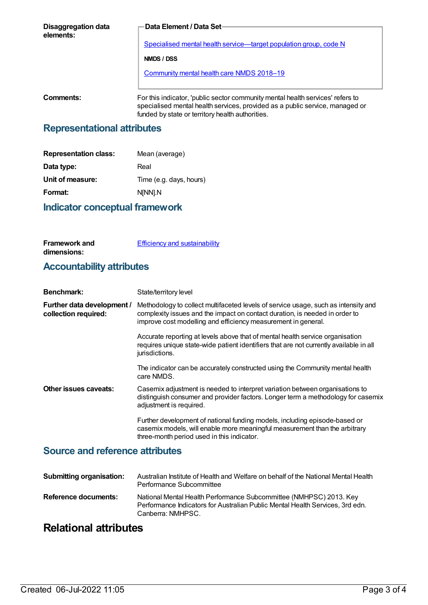| <b>Disaggregation data</b><br>elements: | <b>Data Element / Data Set-</b>                                                                                                                                                                                    |
|-----------------------------------------|--------------------------------------------------------------------------------------------------------------------------------------------------------------------------------------------------------------------|
|                                         | <u>Specialised mental health service—target population group, code N</u>                                                                                                                                           |
|                                         | NMDS / DSS                                                                                                                                                                                                         |
|                                         | <b>Community mental health care NMDS 2018-19</b>                                                                                                                                                                   |
|                                         |                                                                                                                                                                                                                    |
| Comments:                               | For this indicator, 'public sector community mental health services' refers to<br>specialised mental health services, provided as a public service, managed or<br>funded by state or territory health authorities. |

#### **Representational attributes**

| <b>Representation class:</b> | Mean (average)          |
|------------------------------|-------------------------|
| Data type:                   | Real                    |
| Unit of measure:             | Time (e.g. days, hours) |
| Format:                      | N[NN].N                 |
|                              |                         |

#### **Indicator conceptual framework**

| <b>Framework and</b> | <b>Efficiency and sustainability</b> |
|----------------------|--------------------------------------|
| dimensions:          |                                      |

## **Accountability attributes**

| <b>Benchmark:</b>                                  | State/territory level                                                                                                                                                                                                              |
|----------------------------------------------------|------------------------------------------------------------------------------------------------------------------------------------------------------------------------------------------------------------------------------------|
| Further data development /<br>collection required: | Methodology to collect multifaceted levels of service usage, such as intensity and<br>complexity issues and the impact on contact duration, is needed in order to<br>improve cost modelling and efficiency measurement in general. |
|                                                    | Accurate reporting at levels above that of mental health service organisation<br>requires unique state-wide patient identifiers that are not currently available in all<br>jurisdictions.                                          |
|                                                    | The indicator can be accurately constructed using the Community mental health<br>care NMDS.                                                                                                                                        |
| Other issues caveats:                              | Casemix adjustment is needed to interpret variation between organisations to<br>distinguish consumer and provider factors. Longer term a methodology for casemix<br>adjustment is required.                                        |
|                                                    | Further development of national funding models, including episode-based or<br>casemix models, will enable more meaningful measurement than the arbitrary<br>three-month period used in this indicator.                             |

#### **Source and reference attributes**

| <b>Submitting organisation:</b> | Australian Institute of Health and Welfare on behalf of the National Mental Health<br>Performance Subcommittee                                                           |
|---------------------------------|--------------------------------------------------------------------------------------------------------------------------------------------------------------------------|
| Reference documents:            | National Mental Health Performance Subcommittee (NMHPSC) 2013. Key<br>Performance Indicators for Australian Public Mental Health Services, 3rd edn.<br>Canberra: NMHPSC. |

## **Relational attributes**